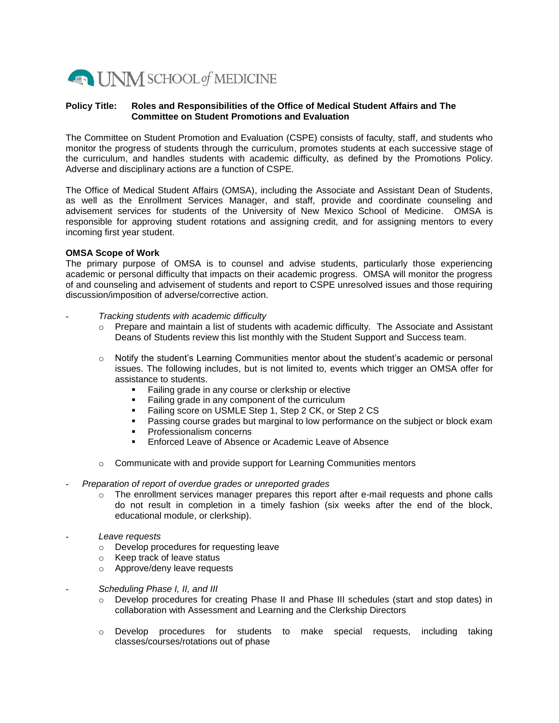

## **Policy Title: Roles and Responsibilities of the Office of Medical Student Affairs and The Committee on Student Promotions and Evaluation**

The Committee on Student Promotion and Evaluation (CSPE) consists of faculty, staff, and students who monitor the progress of students through the curriculum, promotes students at each successive stage of the curriculum, and handles students with academic difficulty, as defined by the Promotions Policy. Adverse and disciplinary actions are a function of CSPE.

The Office of Medical Student Affairs (OMSA), including the Associate and Assistant Dean of Students, as well as the Enrollment Services Manager, and staff, provide and coordinate counseling and advisement services for students of the University of New Mexico School of Medicine. OMSA is responsible for approving student rotations and assigning credit, and for assigning mentors to every incoming first year student.

## **OMSA Scope of Work**

The primary purpose of OMSA is to counsel and advise students, particularly those experiencing academic or personal difficulty that impacts on their academic progress. OMSA will monitor the progress of and counseling and advisement of students and report to CSPE unresolved issues and those requiring discussion/imposition of adverse/corrective action.

- *Tracking students with academic difficulty*
	- o Prepare and maintain a list of students with academic difficulty. The Associate and Assistant Deans of Students review this list monthly with the Student Support and Success team.
	- o Notify the student's Learning Communities mentor about the student's academic or personal issues. The following includes, but is not limited to, events which trigger an OMSA offer for assistance to students.
		- **Failing grade in any course or clerkship or elective**
		- Failing grade in any component of the curriculum
		- **Failing score on USMLE Step 1, Step 2 CK, or Step 2 CS**
		- Passing course grades but marginal to low performance on the subject or block exam
		- Professionalism concerns
		- Enforced Leave of Absence or Academic Leave of Absence
	- o Communicate with and provide support for Learning Communities mentors

## - *Preparation of report of overdue grades or unreported grades*

- $\circ$  The enrollment services manager prepares this report after e-mail requests and phone calls do not result in completion in a timely fashion (six weeks after the end of the block, educational module, or clerkship).
- *Leave requests*
	- o Develop procedures for requesting leave
	- o Keep track of leave status
	- o Approve/deny leave requests
- *Scheduling Phase I, II, and III*
	- o Develop procedures for creating Phase II and Phase III schedules (start and stop dates) in collaboration with Assessment and Learning and the Clerkship Directors
	- o Develop procedures for students to make special requests, including taking classes/courses/rotations out of phase